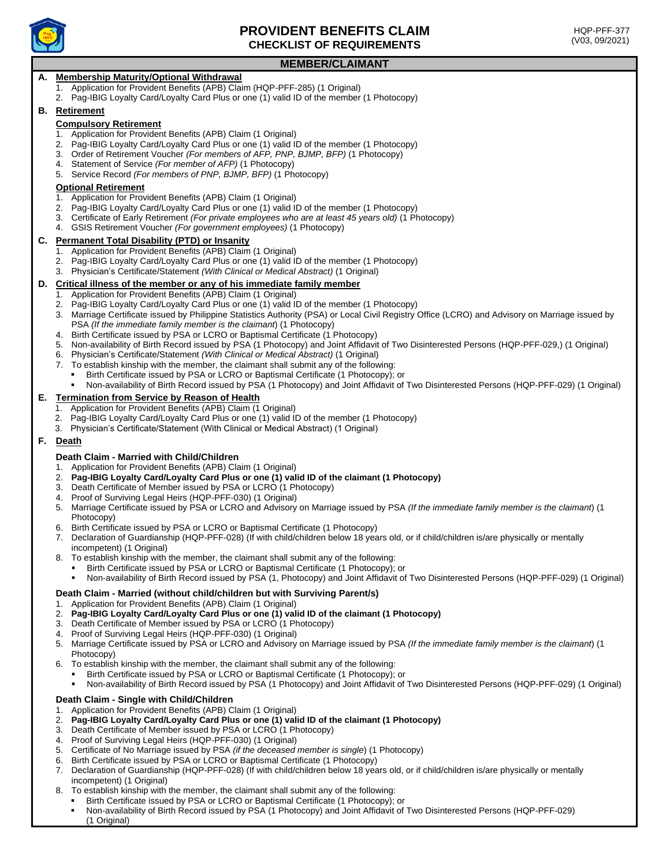

# **PROVIDENT BENEFITS CLAIM CHECKLIST OF REQUIREMENTS**

# **MEMBER/CLAIMANT**

## **A. Membership Maturity/Optional Withdrawal**

- 1. Application for Provident Benefits (APB) Claim (HQP-PFF-285) (1 Original)
- 2. Pag-IBIG Loyalty Card/Loyalty Card Plus or one (1) valid ID of the member (1 Photocopy)

### **B. Retirement**

### **Compulsory Retirement**

- 1. Application for Provident Benefits (APB) Claim (1 Original)
- 2. Pag-IBIG Loyalty Card/Loyalty Card Plus or one (1) valid ID of the member (1 Photocopy)
- 3. Order of Retirement Voucher *(For members of AFP, PNP, BJMP, BFP)* (1 Photocopy)
- 4. Statement of Service *(For member of AFP)* (1 Photocopy)
- 5. Service Record *(For members of PNP, BJMP, BFP)* (1 Photocopy)

### **Optional Retirement**

- 1. Application for Provident Benefits (APB) Claim (1 Original)
- 2. Pag-IBIG Loyalty Card/Loyalty Card Plus or one (1) valid ID of the member (1 Photocopy)
- 3. Certificate of Early Retirement *(For private employees who are at least 45 years old)* (1 Photocopy)
- 4. GSIS Retirement Voucher *(For government employees)* (1 Photocopy)

### **C. Permanent Total Disability (PTD) or Insanity**

- 1. Application for Provident Benefits (APB) Claim (1 Original)
- 2. Pag-IBIG Loyalty Card/Loyalty Card Plus or one (1) valid ID of the member (1 Photocopy)
- 3. Physician's Certificate/Statement *(With Clinical or Medical Abstract)* (1 Original)

#### **D. Critical illness of the member or any of his immediate family member**

- 1. Application for Provident Benefits (APB) Claim (1 Original)
- 2. Pag-IBIG Loyalty Card/Loyalty Card Plus or one (1) valid ID of the member (1 Photocopy)
- 3. Marriage Certificate issued by Philippine Statistics Authority (PSA) or Local Civil Registry Office (LCRO) and Advisory on Marriage issued by PSA *(If the immediate family member is the claimant*) (1 Photocopy)
- 4. Birth Certificate issued by PSA or LCRO or Baptismal Certificate (1 Photocopy)
- 5. Non-availability of Birth Record issued by PSA (1 Photocopy) and Joint Affidavit of Two Disinterested Persons (HQP-PFF-029,) (1 Original)
- 6. Physician's Certificate/Statement *(With Clinical or Medical Abstract)* (1 Original)
- 7. To establish kinship with the member, the claimant shall submit any of the following:
- Birth Certificate issued by PSA or LCRO or Baptismal Certificate (1 Photocopy); or
	- Non-availability of Birth Record issued by PSA (1 Photocopy) and Joint Affidavit of Two Disinterested Persons (HQP-PFF-029) (1 Original)

### **E. Termination from Service by Reason of Health**

- 1. Application for Provident Benefits (APB) Claim (1 Original)
- 2. Pag-IBIG Loyalty Card/Loyalty Card Plus or one (1) valid ID of the member (1 Photocopy)
- 3. Physician's Certificate/Statement (With Clinical or Medical Abstract) (1 Original)

### **F. Death**

## **Death Claim - Married with Child/Children**

- 1. Application for Provident Benefits (APB) Claim (1 Original)
- 2. **Pag-IBIG Loyalty Card/Loyalty Card Plus or one (1) valid ID of the claimant (1 Photocopy)**
- 3. Death Certificate of Member issued by PSA or LCRO (1 Photocopy)
- 4. Proof of Surviving Legal Heirs (HQP-PFF-030) (1 Original)
- 5. Marriage Certificate issued by PSA or LCRO and Advisory on Marriage issued by PSA *(If the immediate family member is the claimant*) (1 Photocopy)
- 6. Birth Certificate issued by PSA or LCRO or Baptismal Certificate (1 Photocopy)
- 7. Declaration of Guardianship (HQP-PFF-028) (If with child/children below 18 years old, or if child/children is/are physically or mentally incompetent) (1 Original)
- 8. To establish kinship with the member, the claimant shall submit any of the following:
	- Birth Certificate issued by PSA or LCRO or Baptismal Certificate (1 Photocopy); or
	- Non-availability of Birth Record issued by PSA (1, Photocopy) and Joint Affidavit of Two Disinterested Persons (HQP-PFF-029) (1 Original)

### **Death Claim - Married (without child/children but with Surviving Parent/s)**

- 1. Application for Provident Benefits (APB) Claim (1 Original)
- 2. **Pag-IBIG Loyalty Card/Loyalty Card Plus or one (1) valid ID of the claimant (1 Photocopy)**
- 3. Death Certificate of Member issued by PSA or LCRO (1 Photocopy)
- 4. Proof of Surviving Legal Heirs (HQP-PFF-030) (1 Original)
- 5. Marriage Certificate issued by PSA or LCRO and Advisory on Marriage issued by PSA *(If the immediate family member is the claimant*) (1 Photocopy)
- 6. To establish kinship with the member, the claimant shall submit any of the following:
- Birth Certificate issued by PSA or LCRO or Baptismal Certificate (1 Photocopy); or
- Non-availability of Birth Record issued by PSA (1 Photocopy) and Joint Affidavit of Two Disinterested Persons (HQP-PFF-029) (1 Original)

### **Death Claim - Single with Child/Children**

- 1. Application for Provident Benefits (APB) Claim (1 Original)
- 2. **Pag-IBIG Loyalty Card/Loyalty Card Plus or one (1) valid ID of the claimant (1 Photocopy)**
- 3. Death Certificate of Member issued by PSA or LCRO (1 Photocopy)
- 4. Proof of Surviving Legal Heirs (HQP-PFF-030) (1 Original)
- 5. Certificate of No Marriage issued by PSA *(if the deceased member is single*) (1 Photocopy)
- 6. Birth Certificate issued by PSA or LCRO or Baptismal Certificate (1 Photocopy)
- 7. Declaration of Guardianship (HQP-PFF-028) (If with child/children below 18 years old, or if child/children is/are physically or mentally incompetent) (1 Original)
- To establish kinship with the member, the claimant shall submit any of the following:
- Birth Certificate issued by PSA or LCRO or Baptismal Certificate (1 Photocopy); or<br>■ Non-availability of Birth Record issued by PSA (1 Photocopy) and Joint Affidavit of
- Non-availability of Birth Record issued by PSA (1 Photocopy) and Joint Affidavit of Two Disinterested Persons (HQP-PFF-029) (1 Original)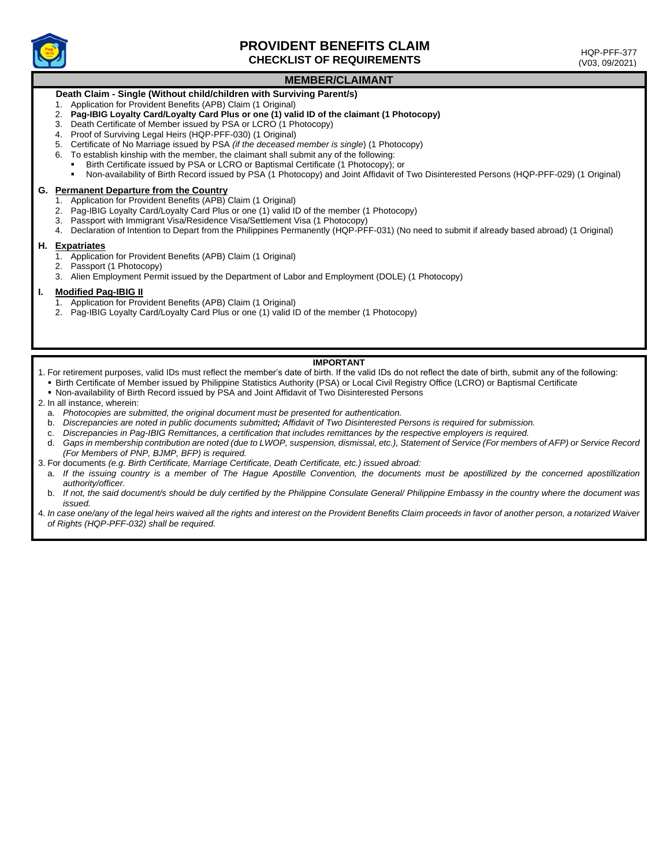

# **PROVIDENT BENEFITS CLAIM CHECKLIST OF REQUIREMENTS**

 HQP-PFF-377 (V03, 09/2021)

# **MEMBER/CLAIMANT**

# **Death Claim - Single (Without child/children with Surviving Parent/s)**

- 1. Application for Provident Benefits (APB) Claim (1 Original)
- 2. **Pag-IBIG Loyalty Card/Loyalty Card Plus or one (1) valid ID of the claimant (1 Photocopy)**
- 3. Death Certificate of Member issued by PSA or LCRO (1 Photocopy)
- 4. Proof of Surviving Legal Heirs (HQP-PFF-030) (1 Original)
- 5. Certificate of No Marriage issued by PSA *(if the deceased member is single*) (1 Photocopy)
- 6. To establish kinship with the member, the claimant shall submit any of the following:
	- Birth Certificate issued by PSA or LCRO or Baptismal Certificate (1 Photocopy); or
- Non-availability of Birth Record issued by PSA (1 Photocopy) and Joint Affidavit of Two Disinterested Persons (HQP-PFF-029) (1 Original)

#### **G. Permanent Departure from the Country**

- 1. Application for Provident Benefits (APB) Claim (1 Original)
- 2. Pag-IBIG Loyalty Card/Loyalty Card Plus or one (1) valid ID of the member (1 Photocopy)
- 3. Passport with Immigrant Visa/Residence Visa/Settlement Visa (1 Photocopy)
- 4. Declaration of Intention to Depart from the Philippines Permanently (HQP-PFF-031) (No need to submit if already based abroad) (1 Original)

#### **H. Expatriates**

- 1. Application for Provident Benefits (APB) Claim (1 Original)
- 2. Passport (1 Photocopy)
- 3. Alien Employment Permit issued by the Department of Labor and Employment (DOLE) (1 Photocopy)

#### **I. Modified Pag-IBIG II**

- 1. Application for Provident Benefits (APB) Claim (1 Original)
- 2. Pag-IBIG Loyalty Card/Loyalty Card Plus or one (1) valid ID of the member (1 Photocopy)

## **IMPORTANT**

- 1. For retirement purposes, valid IDs must reflect the member's date of birth. If the valid IDs do not reflect the date of birth, submit any of the following:
	- Birth Certificate of Member issued by Philippine Statistics Authority (PSA) or Local Civil Registry Office (LCRO) or Baptismal Certificate
- Non-availability of Birth Record issued by PSA and Joint Affidavit of Two Disinterested Persons
- 2. In all instance, wherein:
	- a. *Photocopies are submitted, the original document must be presented for authentication.*
	- b. *Discrepancies are noted in public documents submitted; Affidavit of Two Disinterested Persons is required for submission.*
	- c. *Discrepancies in Pag-IBIG Remittances, a certification that includes remittances by the respective employers is required.*
	- d. *Gaps in membership contribution are noted (due to LWOP, suspension, dismissal, etc.), Statement of Service (For members of AFP) or Service Record (For Members of PNP, BJMP, BFP) is required.*
- 3. For documents *(e.g. Birth Certificate, Marriage Certificate, Death Certificate, etc.) issued abroad:*
	- a. If the issuing country is a member of The Hague Apostille Convention, the documents must be apostillized by the concerned apostillization *authority/officer.*
	- b. If not, the said document/s should be duly certified by the Philippine Consulate General/ Philippine Embassy in the country where the document was *issued.*
- 4. *In case one/any of the legal heirs waived all the rights and interest on the Provident Benefits Claim proceeds in favor of another person, a notarized Waiver of Rights (HQP-PFF-032) shall be required.*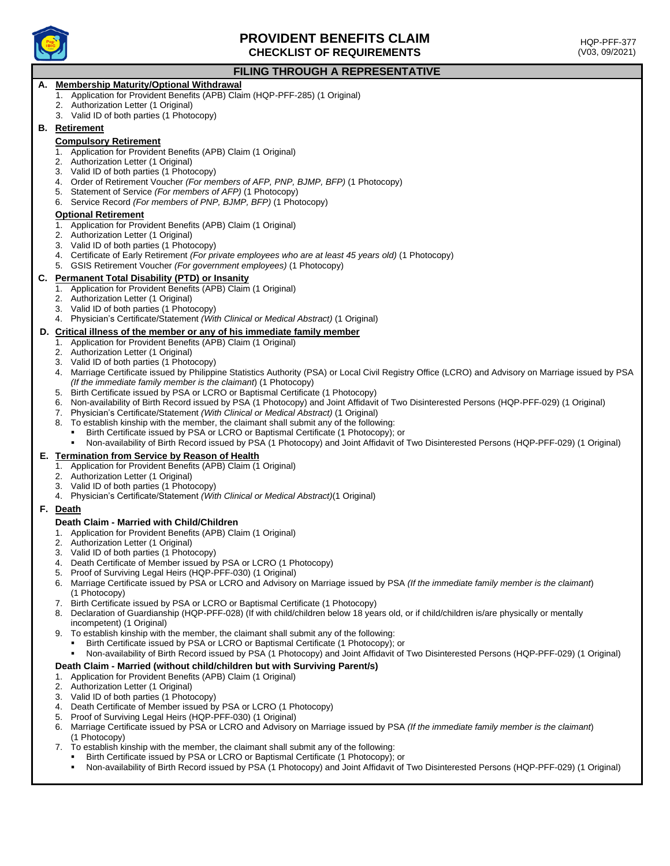

# **PROVIDENT BENEFITS CLAIM CHECKLIST OF REQUIREMENTS**

# **FILING THROUGH A REPRESENTATIVE**

# **A. Membership Maturity/Optional Withdrawal**

- 1. Application for Provident Benefits (APB) Claim (HQP-PFF-285) (1 Original)
- 2. Authorization Letter (1 Original)
- 3. Valid ID of both parties (1 Photocopy)

### **B. Retirement**

### **Compulsory Retirement**

- 1. Application for Provident Benefits (APB) Claim (1 Original)
- 2. Authorization Letter (1 Original)
- 3. Valid ID of both parties (1 Photocopy)
- 4. Order of Retirement Voucher *(For members of AFP, PNP, BJMP, BFP)* (1 Photocopy)
- 5. Statement of Service *(For members of AFP)* (1 Photocopy)
- 6. Service Record *(For members of PNP, BJMP, BFP)* (1 Photocopy)

### **Optional Retirement**

- 1. Application for Provident Benefits (APB) Claim (1 Original)
- 2. Authorization Letter (1 Original)
- 3. Valid ID of both parties (1 Photocopy)
- 4. Certificate of Early Retirement *(For private employees who are at least 45 years old)* (1 Photocopy)
- 5. GSIS Retirement Voucher *(For government employees)* (1 Photocopy)

### **C. Permanent Total Disability (PTD) or Insanity**

- 1. Application for Provident Benefits (APB) Claim (1 Original)
- 2. Authorization Letter (1 Original)
- 3. Valid ID of both parties (1 Photocopy)
- 4. Physician's Certificate/Statement *(With Clinical or Medical Abstract)* (1 Original)

### **D. Critical illness of the member or any of his immediate family member**

- 1. Application for Provident Benefits (APB) Claim (1 Original)
- 2. Authorization Letter (1 Original)
- 3. Valid ID of both parties (1 Photocopy)
- 4. Marriage Certificate issued by Philippine Statistics Authority (PSA) or Local Civil Registry Office (LCRO) and Advisory on Marriage issued by PSA *(If the immediate family member is the claimant*) (1 Photocopy)
- 5. Birth Certificate issued by PSA or LCRO or Baptismal Certificate (1 Photocopy)
- 6. Non-availability of Birth Record issued by PSA (1 Photocopy) and Joint Affidavit of Two Disinterested Persons (HQP-PFF-029) (1 Original)
- 7. Physician's Certificate/Statement *(With Clinical or Medical Abstract)* (1 Original)
- 8. To establish kinship with the member, the claimant shall submit any of the following:
	- Birth Certificate issued by PSA or LCRO or Baptismal Certificate (1 Photocopy); or
	- Non-availability of Birth Record issued by PSA (1 Photocopy) and Joint Affidavit of Two Disinterested Persons (HQP-PFF-029) (1 Original)

### **E. Termination from Service by Reason of Health**

- 1. Application for Provident Benefits (APB) Claim (1 Original)
- 2. Authorization Letter (1 Original)
- 3. Valid ID of both parties (1 Photocopy)
- 4. Physician's Certificate/Statement *(With Clinical or Medical Abstract)*(1 Original)

## **F. Death**

### **Death Claim - Married with Child/Children**

- 1. Application for Provident Benefits (APB) Claim (1 Original)
- 2. Authorization Letter (1 Original)
- 3. Valid ID of both parties (1 Photocopy)
- 4. Death Certificate of Member issued by PSA or LCRO (1 Photocopy)
- 5. Proof of Surviving Legal Heirs (HQP-PFF-030) (1 Original)
- 6. Marriage Certificate issued by PSA or LCRO and Advisory on Marriage issued by PSA *(If the immediate family member is the claimant*) (1 Photocopy)
- 7. Birth Certificate issued by PSA or LCRO or Baptismal Certificate (1 Photocopy)
- 8. Declaration of Guardianship (HQP-PFF-028) (If with child/children below 18 years old, or if child/children is/are physically or mentally incompetent) (1 Original)
- 9. To establish kinship with the member, the claimant shall submit any of the following:
	- Birth Certificate issued by PSA or LCRO or Baptismal Certificate (1 Photocopy); or
		- Non-availability of Birth Record issued by PSA (1 Photocopy) and Joint Affidavit of Two Disinterested Persons (HQP-PFF-029) (1 Original)

### **Death Claim - Married (without child/children but with Surviving Parent/s)**

- 1. Application for Provident Benefits (APB) Claim (1 Original)
- 2. Authorization Letter (1 Original)
- 3. Valid ID of both parties (1 Photocopy)
- 4. Death Certificate of Member issued by PSA or LCRO (1 Photocopy)
- 5. Proof of Surviving Legal Heirs (HQP-PFF-030) (1 Original)
- 6. Marriage Certificate issued by PSA or LCRO and Advisory on Marriage issued by PSA *(If the immediate family member is the claimant*) (1 Photocopy)
- 7. To establish kinship with the member, the claimant shall submit any of the following:
	- Birth Certificate issued by PSA or LCRO or Baptismal Certificate (1 Photocopy); or
	- Non-availability of Birth Record issued by PSA (1 Photocopy) and Joint Affidavit of Two Disinterested Persons (HQP-PFF-029) (1 Original)